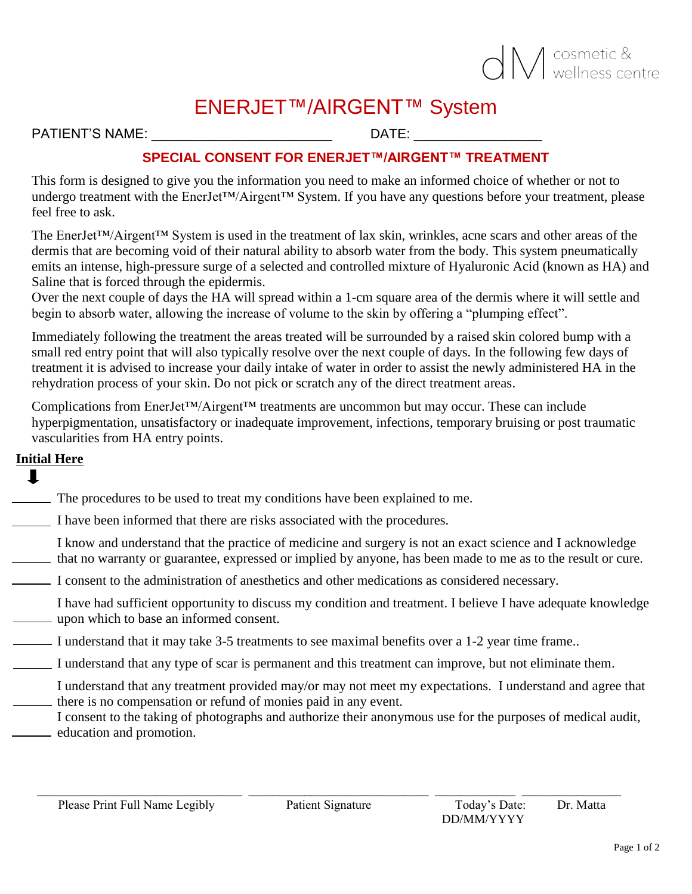## O M cosmetic &

### ENERJET™/AIRGENT™ System

PATIENT'S NAME: \_\_\_\_\_\_\_\_\_\_\_\_\_\_\_\_\_\_\_\_\_\_\_\_ DATE: \_\_\_\_\_\_\_\_\_\_\_\_\_\_\_\_\_

#### **SPECIAL CONSENT FOR ENERJET™/AIRGENT™ TREATMENT**

This form is designed to give you the information you need to make an informed choice of whether or not to undergo treatment with the EnerJet<sup>™</sup>/Airgent™ System. If you have any questions before your treatment, please feel free to ask.

The EnerJet™/Airgent™ System is used in the treatment of lax skin, wrinkles, acne scars and other areas of the dermis that are becoming void of their natural ability to absorb water from the body. This system pneumatically emits an intense, high-pressure surge of a selected and controlled mixture of Hyaluronic Acid (known as HA) and Saline that is forced through the epidermis.

Over the next couple of days the HA will spread within a 1-cm square area of the dermis where it will settle and begin to absorb water, allowing the increase of volume to the skin by offering a "plumping effect".

Immediately following the treatment the areas treated will be surrounded by a raised skin colored bump with a small red entry point that will also typically resolve over the next couple of days. In the following few days of treatment it is advised to increase your daily intake of water in order to assist the newly administered HA in the rehydration process of your skin. Do not pick or scratch any of the direct treatment areas.

Complications from EnerJet™/Airgent™ treatments are uncommon but may occur. These can include hyperpigmentation, unsatisfactory or inadequate improvement, infections, temporary bruising or post traumatic vascularities from HA entry points.

#### **Initial Here**

┸

- The procedures to be used to treat my conditions have been explained to me.
- I have been informed that there are risks associated with the procedures.

I know and understand that the practice of medicine and surgery is not an exact science and I acknowledge that no warranty or guarantee, expressed or implied by anyone, has been made to me as to the result or cure.

- I consent to the administration of anesthetics and other medications as considered necessary.
- I have had sufficient opportunity to discuss my condition and treatment. I believe I have adequate knowledge upon which to base an informed consent.
- I understand that it may take 3-5 treatments to see maximal benefits over a 1-2 year time frame..
- I understand that any type of scar is permanent and this treatment can improve, but not eliminate them.
- I understand that any treatment provided may/or may not meet my expectations. I understand and agree that there is no compensation or refund of monies paid in any event.
- I consent to the taking of photographs and authorize their anonymous use for the purposes of medical audit, education and promotion.